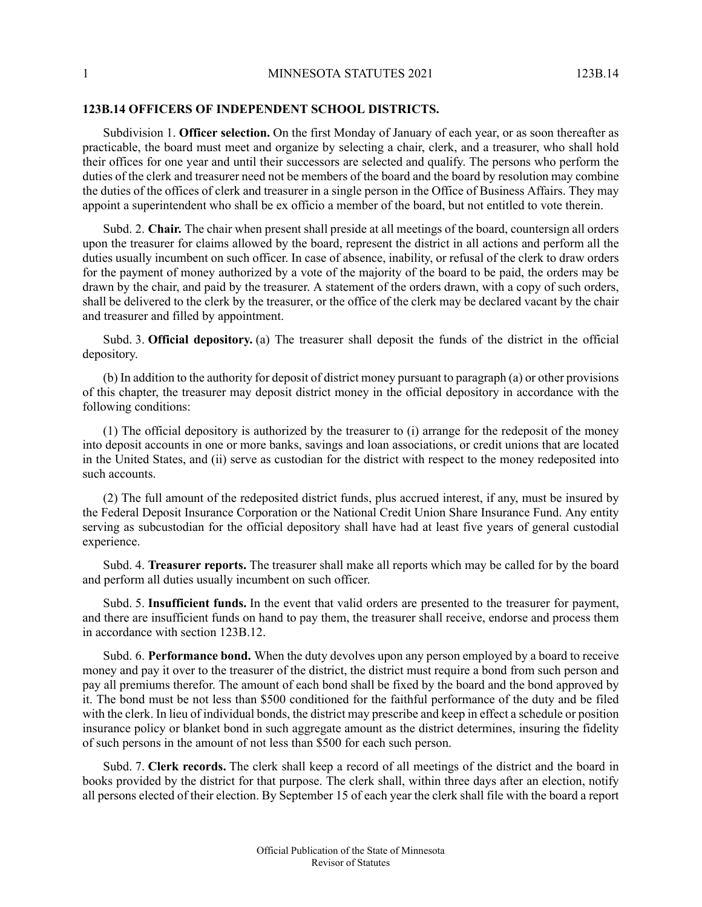## **123B.14 OFFICERS OF INDEPENDENT SCHOOL DISTRICTS.**

Subdivision 1. **Officer selection.** On the first Monday of January of each year, or as soon thereafter as practicable, the board must meet and organize by selecting a chair, clerk, and a treasurer, who shall hold their offices for one year and until their successors are selected and qualify. The persons who perform the duties of the clerk and treasurer need not be members of the board and the board by resolution may combine the duties of the offices of clerk and treasurer in a single person in the Office of Business Affairs. They may appoint a superintendent who shall be ex officio a member of the board, but not entitled to vote therein.

Subd. 2. **Chair.** The chair when present shall preside at all meetings of the board, countersign all orders upon the treasurer for claims allowed by the board, represent the district in all actions and perform all the duties usually incumbent on such officer. In case of absence, inability, or refusal of the clerk to draw orders for the payment of money authorized by a vote of the majority of the board to be paid, the orders may be drawn by the chair, and paid by the treasurer. A statement of the orders drawn, with a copy of such orders, shall be delivered to the clerk by the treasurer, or the office of the clerk may be declared vacant by the chair and treasurer and filled by appointment.

Subd. 3. **Official depository.** (a) The treasurer shall deposit the funds of the district in the official depository.

(b) In addition to the authority for deposit of district money pursuant to paragraph (a) or other provisions of this chapter, the treasurer may deposit district money in the official depository in accordance with the following conditions:

(1) The official depository is authorized by the treasurer to (i) arrange for the redeposit of the money into deposit accounts in one or more banks, savings and loan associations, or credit unions that are located in the United States, and (ii) serve as custodian for the district with respect to the money redeposited into such accounts.

(2) The full amount of the redeposited district funds, plus accrued interest, if any, must be insured by the Federal Deposit Insurance Corporation or the National Credit Union Share Insurance Fund. Any entity serving as subcustodian for the official depository shall have had at least five years of general custodial experience.

Subd. 4. **Treasurer reports.** The treasurer shall make all reports which may be called for by the board and perform all duties usually incumbent on such officer.

Subd. 5. **Insufficient funds.** In the event that valid orders are presented to the treasurer for payment, and there are insufficient funds on hand to pay them, the treasurer shall receive, endorse and process them in accordance with section 123B.12.

Subd. 6. **Performance bond.** When the duty devolves upon any person employed by a board to receive money and pay it over to the treasurer of the district, the district must require a bond from such person and pay all premiums therefor. The amount of each bond shall be fixed by the board and the bond approved by it. The bond must be not less than \$500 conditioned for the faithful performance of the duty and be filed with the clerk. In lieu of individual bonds, the district may prescribe and keep in effect a schedule or position insurance policy or blanket bond in such aggregate amount as the district determines, insuring the fidelity of such persons in the amount of not less than \$500 for each such person.

Subd. 7. **Clerk records.** The clerk shall keep a record of all meetings of the district and the board in books provided by the district for that purpose. The clerk shall, within three days after an election, notify all persons elected of their election. By September 15 of each year the clerk shall file with the board a report